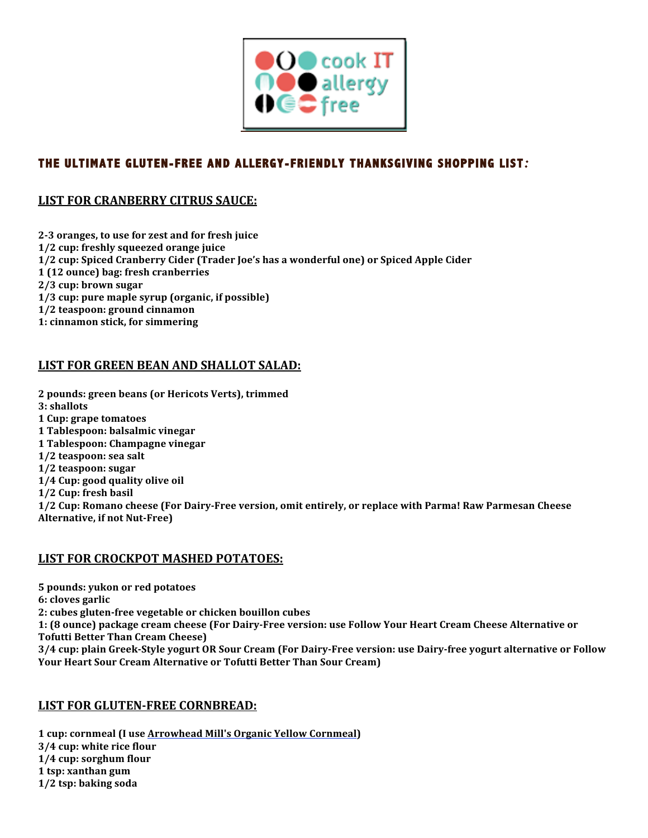

# **THE ULTIMATE GLUTEN-FREE AND ALLERGY-FRIENDLY THANKSGIVING SHOPPING LIST***:*

### **LIST FOR CRANBERRY CITRUS SAUCE:**

2-3 oranges, to use for zest and for fresh juice **1/2 cup: freshly squeezed orange juice 1/2 cup: Spiced Cranberry Cider (Trader Joe's has a wonderful one) or Spiced Apple Cider 1 (12 ounce) bag: fresh cranberries 2/3!cup:!brown!sugar** 1/3 cup: pure maple syrup (organic, if possible) **1/2 teaspoon: ground cinnamon 1: cinnamon stick, for simmering** 

### **LIST FOR GREEN BEAN AND SHALLOT SALAD:**

2 pounds: green beans (or Hericots Verts), trimmed **3**: shallots **1 Cup: grape tomatoes 1!Tablespoon:!balsalmic!vinegar 1 Tablespoon: Champagne vinegar 1/2 teaspoon: sea salt 1/2 teaspoon: sugar 1/4 Cup: good quality olive oil 1/2 Cup: fresh basil 1/2 Cup: Romano cheese (For Dairy-Free version, omit entirely, or replace with Parma! Raw Parmesan Cheese** 

Alternative, if not Nut-Free)

#### **LIST FOR CROCKPOT MASHED POTATOES:**

**5 pounds: yukon or red potatoes** 

**6: cloves garlic** 

2: cubes gluten-free vegetable or chicken bouillon cubes

1: (8 ounce) package cream cheese (For Dairy-Free version: use Follow Your Heart Cream Cheese Alternative or

**Tofutti Better Than Cream Cheese)** 

3/4 cup: plain Greek-Style yogurt OR Sour Cream (For Dairy-Free version: use Dairy-free yogurt alternative or Follow **Your Heart Sour Cream Alternative or Tofutti Better Than Sour Cream)** 

#### **LIST FOR GLUTEN-FREE CORNBREAD:**

1 cup: cornmeal (I use **Arrowhead Mill's Organic Yellow Cornmeal**) **3/4 cup: white rice flour 1/4 cup: sorghum flour 1 tsp: xanthan gum 1/2 tsp: baking soda**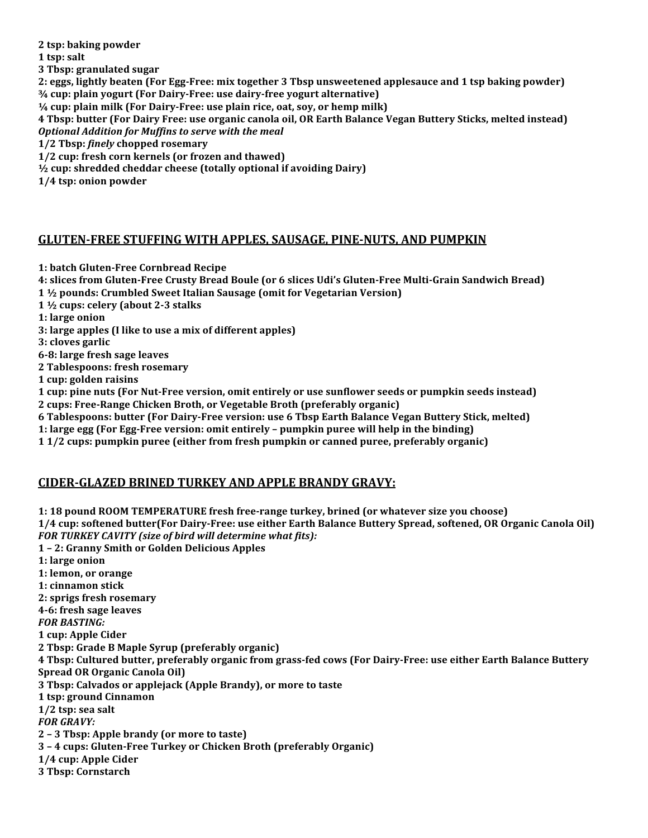**2 tsp: baking powder** 

1 tsp: salt

**3 Tbsp: granulated sugar** 

2: eggs, lightly beaten (For Egg-Free: mix together 3 Tbsp unsweetened applesauce and 1 tsp baking powder) <sup>3/4</sup> cup: plain yogurt (For Dairy-Free: use dairy-free yogurt alternative)

 $\frac{1}{4}$  **cup: plain milk (For Dairy-Free: use plain rice, oat, soy, or hemp milk)** 

**4 Tbsp: butter (For Dairy Free: use organic canola oil, OR Earth Balance Vegan Buttery Sticks, melted instead)** *Optional)Addition)for)Muffins)to)serve)with)the)meal*

**1/2!Tbsp:** *finely***!chopped!rosemary**

1/2 cup: fresh corn kernels (or frozen and thawed)

<sup>1</sup>/<sub>2</sub> cup: shredded cheddar cheese (totally optional if avoiding Dairy)

**1/4 tsp: onion powder** 

### GLUTEN-FREE STUFFING WITH APPLES, SAUSAGE, PINE-NUTS, AND PUMPKIN

**1: batch Gluten-Free Cornbread Recipe** 

4: slices from Gluten-Free Crusty Bread Boule (or 6 slices Udi's Gluten-Free Multi-Grain Sandwich Bread)

**1**  $\frac{1}{2}$  pounds: Crumbled Sweet Italian Sausage (omit for Vegetarian Version)

**1**  $\frac{1}{2}$  cups: celery (about 2-3 stalks)

**1: large onion** 

**3: large apples (I like to use a mix of different apples)** 

**3: cloves garlic** 

**628:!large!fresh!sage!leaves**

**2 Tablespoons: fresh rosemary** 

1 cup: golden raisins

**1 cup: pine nuts (For Nut-Free version, omit entirely or use sunflower seeds or pumpkin seeds instead)** 2 cups: Free-Range Chicken Broth, or Vegetable Broth (preferably organic)

**6 Tablespoons: butter (For Dairy-Free version: use 6 Tbsp Earth Balance Vegan Buttery Stick, melted)** 

1: large egg (For Egg-Free version: omit entirely – pumpkin puree will help in the binding)

**11/2 cups: pumpkin puree (either from fresh pumpkin or canned puree, preferably organic)** 

### **CIDER-GLAZED BRINED TURKEY AND APPLE BRANDY GRAVY:**

**1: 18 pound ROOM TEMPERATURE fresh free-range turkey, brined (or whatever size you choose) 1/4 cup: softened butter(For Dairy-Free: use either Earth Balance Buttery Spread, softened, OR Organic Canola Oil)** FOR TURKEY CAVITY (size of bird will determine what fits): 1 - 2: Granny Smith or Golden Delicious Apples **1: large onion 1: lemon, or orange 1: cinnamon stick 2: sprigs fresh rosemary 4-6: fresh sage leaves** *FOR)BASTING:* 1 cup: Apple Cider

**2 Tbsp: Grade B Maple Syrup (preferably organic) 4 Tbsp: Cultured butter, preferably organic from grass-fed cows (For Dairy-Free: use either Earth Balance Buttery** 

**Spread OR Organic Canola Oil)** 

**3 Tbsp: Calvados or applejack (Apple Brandy), or more to taste** 

**1 tsp: ground Cinnamon** 

**1/2 tsp: sea salt** 

**FOR GRAVY:** 

**2 - 3 Tbsp: Apple brandy (or more to taste)** 

**3!–!4!cups:!Gluten2Free!Turkey!or!Chicken!Broth!(preferably!Organic)**

**1/4 cup: Apple Cider** 

**3 Tbsp: Cornstarch**